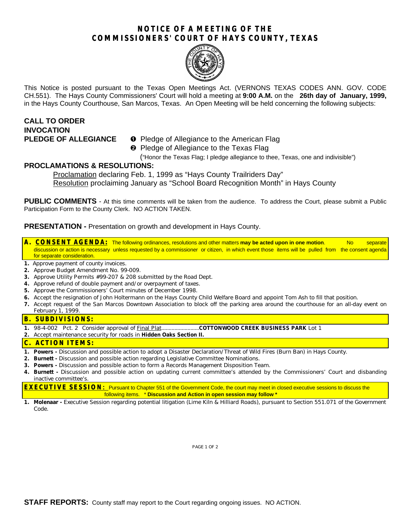## **NOTICE OF A MEETING OF THE COMMISSIONERS' COURT OF HAYS COUNTY, TEXAS**



This Notice is posted pursuant to the Texas Open Meetings Act. (VERNONS TEXAS CODES ANN. GOV. CODE CH.551). The Hays County Commissioners' Court will hold a meeting at **9:00 A.M.** on the **26th day of January, 1999,** in the Hays County Courthouse, San Marcos, Texas. An Open Meeting will be held concerning the following subjects:

# **CALL TO ORDER INVOCATION**

## **PLEDGE OF ALLEGIANCE O** Pledge of Allegiance to the American Flag

<sup>2</sup> Pledge of Allegiance to the Texas Flag

("Honor the Texas Flag; I pledge allegiance to thee, Texas, one and indivisible")

## **PROCLAMATIONS & RESOLUTIONS:**

Proclamation declaring Feb. 1, 1999 as "Hays County Trailriders Day" Resolution proclaiming January as "School Board Recognition Month" in Hays County

PUBLIC COMMENTS - At this time comments will be taken from the audience. To address the Court, please submit a Public Participation Form to the County Clerk. NO ACTION TAKEN.

**PRESENTATION -** Presentation on growth and development in Hays County.

**A. CONSENT AGENDA:** The following ordinances, resolutions and other matters **may be acted upon in one motion**. No separate discussion or action is necessary unless requested by a commissioner or citizen, in which event those items will be pulled from the consent agenda for separate consideration.

- **1.** Approve payment of county invoices.
- **2.** Approve Budget Amendment No. 99-009.
- **3.** Approve Utility Permits #99-207 & 208 submitted by the Road Dept.
- **4.** Approve refund of double payment and/or overpayment of taxes.
- **5.** Approve the Commissioners' Court minutes of December 1998.
- **6.** Accept the resignation of John Holtermann on the Hays County Child Welfare Board and appoint Tom Ash to fill that position.
- **7.** Accept request of the San Marcos Downtown Association to block off the parking area around the courthouse for an all-day event on February 1, 1999.

#### **B. SUBDIVISIONS:**

- **1.** 98-4-002 Pct. 2 Consider approval of Final Plat..........................**COTTONWOOD CREEK BUSINESS PARK** Lot 1
- **2.** Accept maintenance security for roads in **Hidden Oaks Section II.**

#### **C. ACTION ITEMS:**

- **1. Powers -** Discussion and possible action to adopt a Disaster Declaration/Threat of Wild Fires (Burn Ban) in Hays County.
- **2. Burnett -** Discussion and possible action regarding Legislative Committee Nominations.
- **3. Powers -** Discussion and possible action to form a Records Management Disposition Team.
- **4. Burnett -** Discussion and possible action on updating current committee's attended by the Commissioners' Court and disbanding inactive committee's.

**EXECUTIVE SESSION:** Pursuant to Chapter 551 of the Government Code, the court may meet in closed executive sessions to discuss the following items. \* **Discussion and Action in open session may follow \***

**1. Molenaar -** Executive Session regarding potential litigation (Lime Kiln & Hilliard Roads), pursuant to Section 551.071 of the Government Code.

PAGE 1 OF 2